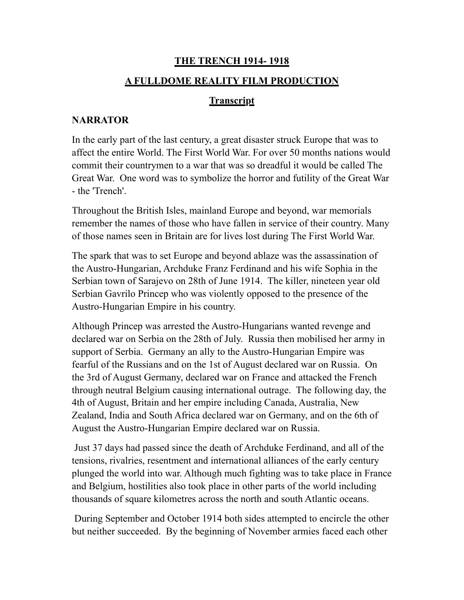# **THE TRENCH 1914- 1918**

## **A FULLDOME REALITY FILM PRODUCTION**

## **Transcript**

## **NARRATOR**

In the early part of the last century, a great disaster struck Europe that was to affect the entire World. The First World War. For over 50 months nations would commit their countrymen to a war that was so dreadful it would be called The Great War. One word was to symbolize the horror and futility of the Great War - the 'Trench'.

Throughout the British Isles, mainland Europe and beyond, war memorials remember the names of those who have fallen in service of their country. Many of those names seen in Britain are for lives lost during The First World War.

The spark that was to set Europe and beyond ablaze was the assassination of the Austro-Hungarian, Archduke Franz Ferdinand and his wife Sophia in the Serbian town of Sarajevo on 28th of June 1914. The killer, nineteen year old Serbian Gavrilo Princep who was violently opposed to the presence of the Austro-Hungarian Empire in his country.

Although Princep was arrested the Austro-Hungarians wanted revenge and declared war on Serbia on the 28th of July. Russia then mobilised her army in support of Serbia. Germany an ally to the Austro-Hungarian Empire was fearful of the Russians and on the 1st of August declared war on Russia. On the 3rd of August Germany, declared war on France and attacked the French through neutral Belgium causing international outrage. The following day, the 4th of August, Britain and her empire including Canada, Australia, New Zealand, India and South Africa declared war on Germany, and on the 6th of August the Austro-Hungarian Empire declared war on Russia.

 Just 37 days had passed since the death of Archduke Ferdinand, and all of the tensions, rivalries, resentment and international alliances of the early century plunged the world into war. Although much fighting was to take place in France and Belgium, hostilities also took place in other parts of the world including thousands of square kilometres across the north and south Atlantic oceans.

 During September and October 1914 both sides attempted to encircle the other but neither succeeded. By the beginning of November armies faced each other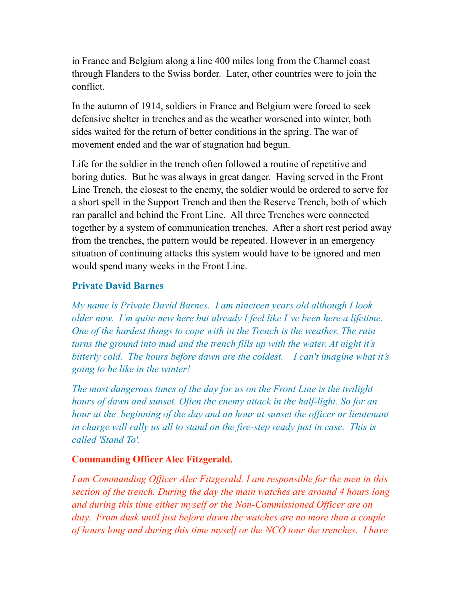in France and Belgium along a line 400 miles long from the Channel coast through Flanders to the Swiss border. Later, other countries were to join the conflict.

In the autumn of 1914, soldiers in France and Belgium were forced to seek defensive shelter in trenches and as the weather worsened into winter, both sides waited for the return of better conditions in the spring. The war of movement ended and the war of stagnation had begun.

Life for the soldier in the trench often followed a routine of repetitive and boring duties. But he was always in great danger. Having served in the Front Line Trench, the closest to the enemy, the soldier would be ordered to serve for a short spell in the Support Trench and then the Reserve Trench, both of which ran parallel and behind the Front Line. All three Trenches were connected together by a system of communication trenches. After a short rest period away from the trenches, the pattern would be repeated. However in an emergency situation of continuing attacks this system would have to be ignored and men would spend many weeks in the Front Line.

## **Private David Barnes**

*My name is Private David Barnes. I am nineteen years old although I look older now. I'm quite new here but already I feel like I've been here a lifetime. One of the hardest things to cope with in the Trench is the weather. The rain turns the ground into mud and the trench fills up with the water. At night it's bitterly cold. The hours before dawn are the coldest. I can't imagine what it's going to be like in the winter!*

*The most dangerous times of the day for us on the Front Line is the twilight hours of dawn and sunset. Often the enemy attack in the half-light. So for an hour at the beginning of the day and an hour at sunset the officer or lieutenant in charge will rally us all to stand on the fire-step ready just in case. This is called 'Stand To'.*

## **Commanding Officer Alec Fitzgerald.**

*I am Commanding Officer Alec Fitzgerald. I am responsible for the men in this section of the trench. During the day the main watches are around 4 hours long and during this time either myself or the Non-Commissioned Officer are on duty. From dusk until just before dawn the watches are no more than a couple of hours long and during this time myself or the NCO tour the trenches. I have*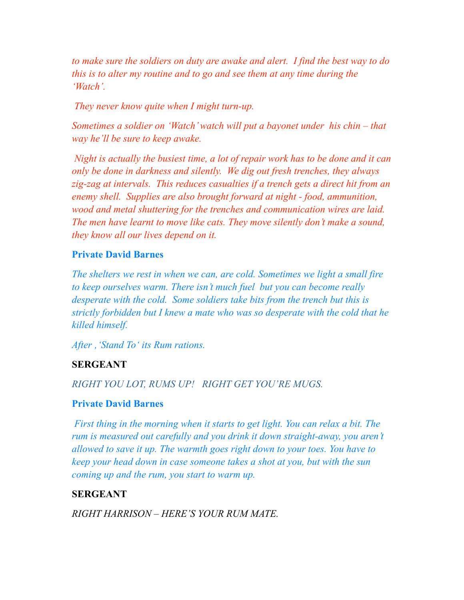*to make sure the soldiers on duty are awake and alert. I find the best way to do this is to alter my routine and to go and see them at any time during the 'Watch'.* 

 *They never know quite when I might turn-up.* 

*Sometimes a soldier on 'Watch' watch will put a bayonet under his chin – that way he'll be sure to keep awake.*

 *Night is actually the busiest time, a lot of repair work has to be done and it can only be done in darkness and silently. We dig out fresh trenches, they always zig-zag at intervals. This reduces casualties if a trench gets a direct hit from an enemy shell. Supplies are also brought forward at night - food, ammunition, wood and metal shuttering for the trenches and communication wires are laid. The men have learnt to move like cats. They move silently don't make a sound, they know all our lives depend on it.*

### **Private David Barnes**

*The shelters we rest in when we can, are cold. Sometimes we light a small fire to keep ourselves warm. There isn't much fuel but you can become really desperate with the cold. Some soldiers take bits from the trench but this is strictly forbidden but I knew a mate who was so desperate with the cold that he killed himself.*

After, *'Stand To' its Rum rations.* 

### **SERGEANT**

*RIGHT YOU LOT, RUMS UP! RIGHT GET YOU'RE MUGS.*

#### **Private David Barnes**

 *First thing in the morning when it starts to get light. You can relax a bit. The rum is measured out carefully and you drink it down straight-away, you aren't allowed to save it up. The warmth goes right down to your toes. You have to keep your head down in case someone takes a shot at you, but with the sun coming up and the rum, you start to warm up.*

#### **SERGEANT**

*RIGHT HARRISON – HERE'S YOUR RUM MATE.*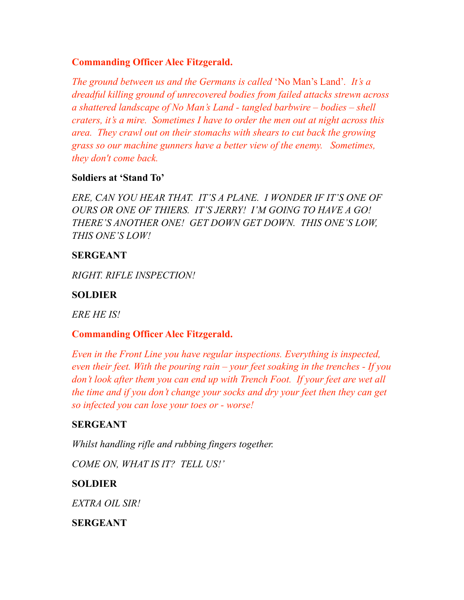## **Commanding Officer Alec Fitzgerald.**

*The ground between us and the Germans is called* 'No Man's Land'*. It's a dreadful killing ground of unrecovered bodies from failed attacks strewn across a shattered landscape of No Man's Land - tangled barbwire – bodies – shell craters, it's a mire. Sometimes I have to order the men out at night across this area. They crawl out on their stomachs with shears to cut back the growing grass so our machine gunners have a better view of the enemy. Sometimes, they don't come back.*

## **Soldiers at 'Stand To'**

*ERE, CAN YOU HEAR THAT. IT'S A PLANE. I WONDER IF IT'S ONE OF OURS OR ONE OF THIERS. IT'S JERRY! I'M GOING TO HAVE A GO! THERE'S ANOTHER ONE! GET DOWN GET DOWN. THIS ONE'S LOW, THIS ONE'S LOW!*

### **SERGEANT**

*RIGHT. RIFLE INSPECTION!*

## **SOLDIER**

*ERE HE IS!*

## **Commanding Officer Alec Fitzgerald.**

*Even in the Front Line you have regular inspections. Everything is inspected, even their feet. With the pouring rain – your feet soaking in the trenches - If you don't look after them you can end up with Trench Foot. If your feet are wet all the time and if you don't change your socks and dry your feet then they can get so infected you can lose your toes or - worse!*

## **SERGEANT**

*Whilst handling rifle and rubbing fingers together. COME ON, WHAT IS IT? TELL US!'*

## **SOLDIER**

*EXTRA OIL SIR!*

**SERGEANT**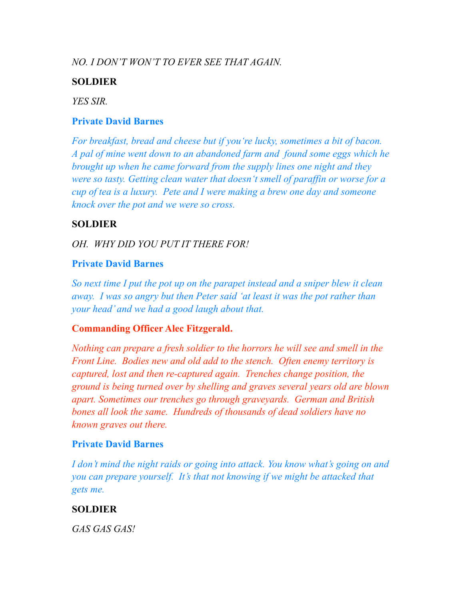## *NO. I DON'T WON'T TO EVER SEE THAT AGAIN.*

## **SOLDIER**

*YES SIR.*

### **Private David Barnes**

*For breakfast, bread and cheese but if you're lucky, sometimes a bit of bacon. A pal of mine went down to an abandoned farm and found some eggs which he brought up when he came forward from the supply lines one night and they were so tasty. Getting clean water that doesn't smell of paraffin or worse for a cup of tea is a luxury. Pete and I were making a brew one day and someone knock over the pot and we were so cross.* 

## **SOLDIER**

## *OH. WHY DID YOU PUT IT THERE FOR!*

## **Private David Barnes**

*So next time I put the pot up on the parapet instead and a sniper blew it clean away. I was so angry but then Peter said 'at least it was the pot rather than your head' and we had a good laugh about that.*

## **Commanding Officer Alec Fitzgerald.**

*Nothing can prepare a fresh soldier to the horrors he will see and smell in the Front Line. Bodies new and old add to the stench. Often enemy territory is captured, lost and then re-captured again. Trenches change position, the ground is being turned over by shelling and graves several years old are blown apart. Sometimes our trenches go through graveyards. German and British bones all look the same. Hundreds of thousands of dead soldiers have no known graves out there.* 

## **Private David Barnes**

*I don't mind the night raids or going into attack. You know what's going on and you can prepare yourself. It's that not knowing if we might be attacked that gets me.*

## **SOLDIER**

*GAS GAS GAS!*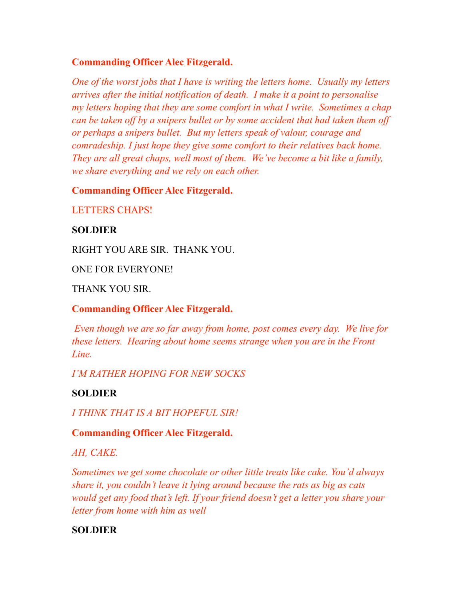## **Commanding Officer Alec Fitzgerald.**

*One of the worst jobs that I have is writing the letters home. Usually my letters arrives after the initial notification of death. I make it a point to personalise my letters hoping that they are some comfort in what I write. Sometimes a chap can be taken off by a snipers bullet or by some accident that had taken them off or perhaps a snipers bullet. But my letters speak of valour, courage and comradeship. I just hope they give some comfort to their relatives back home. They are all great chaps, well most of them. We've become a bit like a family, we share everything and we rely on each other.*

## **Commanding Officer Alec Fitzgerald.**

LETTERS CHAPS!

### **SOLDIER**

RIGHT YOU ARE SIR. THANK YOU.

ONE FOR EVERYONE!

THANK YOU SIR.

## **Commanding Officer Alec Fitzgerald.**

 *Even though we are so far away from home, post comes every day. We live for these letters. Hearing about home seems strange when you are in the Front Line.* 

*I'M RATHER HOPING FOR NEW SOCKS*

## **SOLDIER**

*I THINK THAT IS A BIT HOPEFUL SIR!*

## **Commanding Officer Alec Fitzgerald.**

*AH, CAKE.*

*Sometimes we get some chocolate or other little treats like cake. You'd always share it, you couldn't leave it lying around because the rats as big as cats would get any food that's left. If your friend doesn't get a letter you share your letter from home with him as well*

## **SOLDIER**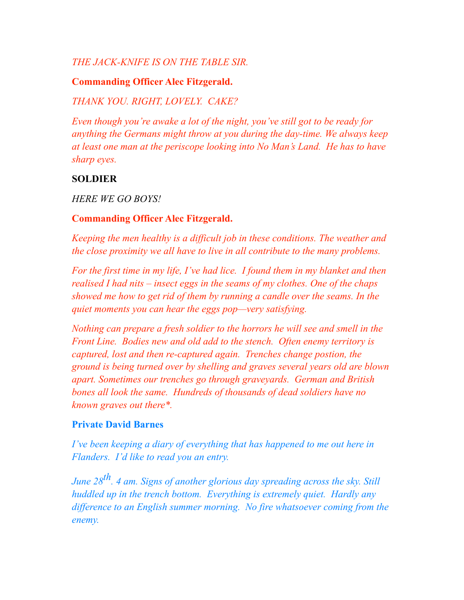## *THE JACK-KNIFE IS ON THE TABLE SIR.*

### **Commanding Officer Alec Fitzgerald.**

### *THANK YOU. RIGHT, LOVELY. CAKE?*

*Even though you're awake a lot of the night, you've still got to be ready for anything the Germans might throw at you during the day-time. We always keep at least one man at the periscope looking into No Man's Land. He has to have sharp eyes.*

### **SOLDIER**

*HERE WE GO BOYS!*

### **Commanding Officer Alec Fitzgerald.**

*Keeping the men healthy is a difficult job in these conditions. The weather and the close proximity we all have to live in all contribute to the many problems.* 

*For the first time in my life, I've had lice. I found them in my blanket and then realised I had nits – insect eggs in the seams of my clothes. One of the chaps showed me how to get rid of them by running a candle over the seams. In the quiet moments you can hear the eggs pop—very satisfying.*

*Nothing can prepare a fresh soldier to the horrors he will see and smell in the Front Line. Bodies new and old add to the stench. Often enemy territory is captured, lost and then re-captured again. Trenches change postion, the ground is being turned over by shelling and graves several years old are blown apart. Sometimes our trenches go through graveyards. German and British bones all look the same. Hundreds of thousands of dead soldiers have no known graves out there\*.* 

#### **Private David Barnes**

*I've been keeping a diary of everything that has happened to me out here in Flanders. I'd like to read you an entry.*

*June 28th. 4 am. Signs of another glorious day spreading across the sky. Still huddled up in the trench bottom. Everything is extremely quiet. Hardly any difference to an English summer morning. No fire whatsoever coming from the enemy.*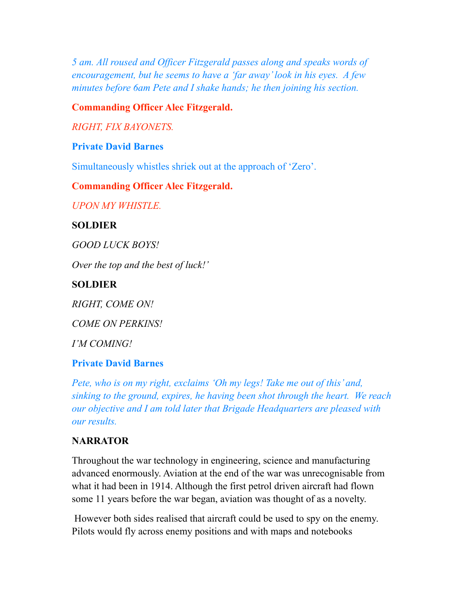*5 am. All roused and Officer Fitzgerald passes along and speaks words of encouragement, but he seems to have a 'far away' look in his eyes. A few minutes before 6am Pete and I shake hands; he then joining his section.* 

**Commanding Officer Alec Fitzgerald.**

*RIGHT, FIX BAYONETS.*

## **Private David Barnes**

Simultaneously whistles shriek out at the approach of 'Zero'.

#### **Commanding Officer Alec Fitzgerald.**

*UPON MY WHISTLE.*

#### **SOLDIER**

*GOOD LUCK BOYS!*

*Over the top and the best of luck!'* 

#### **SOLDIER**

*RIGHT, COME ON!*

*COME ON PERKINS!*

*I'M COMING!*

#### **Private David Barnes**

*Pete, who is on my right, exclaims 'Oh my legs! Take me out of this' and, sinking to the ground, expires, he having been shot through the heart. We reach our objective and I am told later that Brigade Headquarters are pleased with our results.*

### **NARRATOR**

Throughout the war technology in engineering, science and manufacturing advanced enormously. Aviation at the end of the war was unrecognisable from what it had been in 1914. Although the first petrol driven aircraft had flown some 11 years before the war began, aviation was thought of as a novelty.

However both sides realised that aircraft could be used to spy on the enemy. Pilots would fly across enemy positions and with maps and notebooks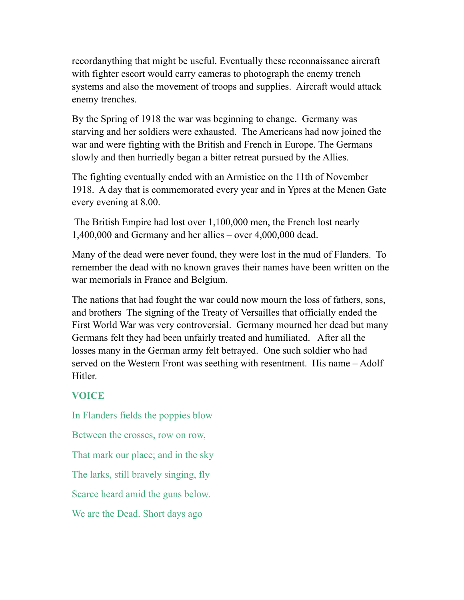recordanything that might be useful. Eventually these reconnaissance aircraft with fighter escort would carry cameras to photograph the enemy trench systems and also the movement of troops and supplies. Aircraft would attack enemy trenches.

By the Spring of 1918 the war was beginning to change. Germany was starving and her soldiers were exhausted. The Americans had now joined the war and were fighting with the British and French in Europe. The Germans slowly and then hurriedly began a bitter retreat pursued by the Allies.

The fighting eventually ended with an Armistice on the 11th of November 1918. A day that is commemorated every year and in Ypres at the Menen Gate every evening at 8.00.

 The British Empire had lost over 1,100,000 men, the French lost nearly 1,400,000 and Germany and her allies – over 4,000,000 dead.

Many of the dead were never found, they were lost in the mud of Flanders. To remember the dead with no known graves their names have been written on the war memorials in France and Belgium.

The nations that had fought the war could now mourn the loss of fathers, sons, and brothers The signing of the Treaty of Versailles that officially ended the First World War was very controversial. Germany mourned her dead but many Germans felt they had been unfairly treated and humiliated. After all the losses many in the German army felt betrayed. One such soldier who had served on the Western Front was seething with resentment. His name – Adolf Hitler.

# **VOICE**

In Flanders fields the poppies blow Between the crosses, row on row, That mark our place; and in the sky The larks, still bravely singing, fly Scarce heard amid the guns below. We are the Dead. Short days ago